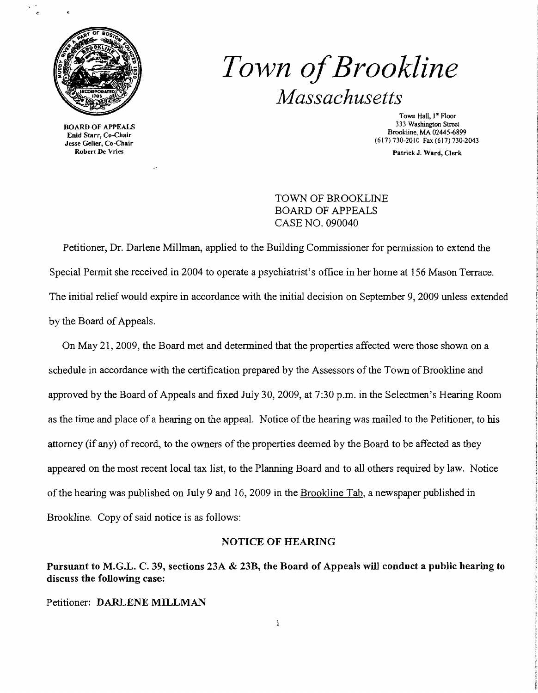

 $\lambda$ 

BOARD OF APPEALS Enid Starr, Co-Chair Jesse Geller, Co-Chair Robert Dc Vries

# *Town ofBrookline Massachusetts*

Town Hall, I~ Floor 333 Washington Street Brookline, MA 02445~899 (617) 730-2010 Fax (617) 730-2043

Patrick J. Ward, Clerk

TOWN OF BROOKLINE BOARD OF APPEALS CASE NO. 090040

Petitioner, Dr. Darlene Millman, applied to the Building Commissioner for permission to extend the Special Permit she received in 2004 to operate a psychiatrist's office in her home at 156 Mason Terrace. The initial relief would expire in accordance with the initial decision on September 9, 2009 unless extended by the Board of Appeals.

On May 21,2009, the Board met and determined that the properties affected were those shown on a schedule in accordance with the certification prepared by the Assessors of the Town of Brookline and approved by the Board of Appeals and fixed July 30,2009, at 7:30 p.m. in the Selectmen's Hearing Room as the time and place of a hearing on the appeal. Notice of the hearing was mailed to the Petitioner, to his attorney (if any) of record, to the owners of the properties deemed by the Board to be affected as they appeared on the most recent local tax list, to the Planning Board and to all others required by law. Notice of the hearing was published on July 9 and 16, 2009 in the Brookline Tab, a newspaper published in Brookline. Copy of said notice is as follows:

#### NOTICE OF HEARING

Pursuant to M.G.L. C. 39, sections 23A & 23B, the Board of Appeals will conduct a public hearing to discuss the following case:

Petitioner: DARLENE MILLMAN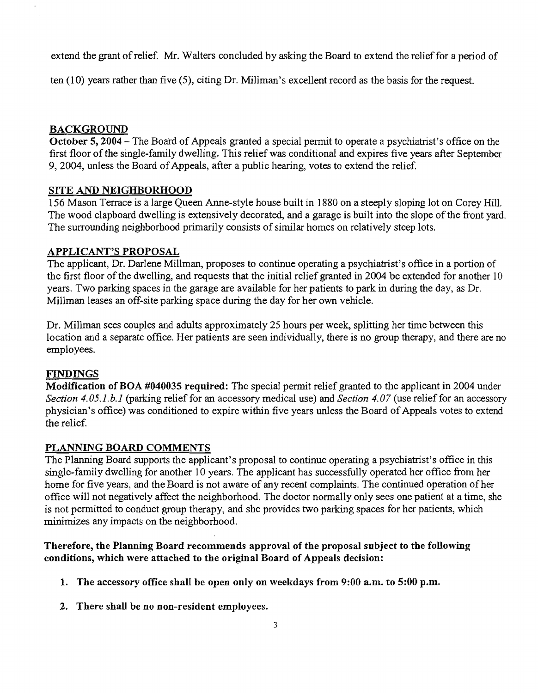extend the grant of relief. Mr. Walters concluded by asking the Board to extend the relief for a period of

ten (10) years rather than five (5), citing Dr. Millman's excellent record as the basis for the request.

## BACKGROUND

October 5, 2004 – The Board of Appeals granted a special permit to operate a psychiatrist's office on the first floor of the single-family dwelling. This relief was conditional and expires five years after September 9, 2004, unless the Board of Appeals, after a public hearing, votes to extend the relief.

## SITE AND NEIGHBORHOOD

156 Mason Terrace is a large Queen Anne-style house built in 1880 on a steeply sloping lot on Corey Hill. The wood clapboard dwelling is extensively decorated, and a garage is built into the slope of the front yard. The surrounding neighborhood primarily consists of similar homes on relatively steep lots.

#### APPLICANT'S PROPOSAL

The applicant, Dr. Darlene Millman, proposes to continue operating a psychiatrist's office in a portion of the first floor of the dwelling, and requests that the initial relief granted in 2004 be extended for another  $10$ years. Two parking spaces in the garage are available for her patients to park in during the day, as Dr. Millman leases an off-site parking space during the day for her own vehicle.

Dr. Millman sees couples and adults approximately 25 hours per week, splitting her time between this location and a separate office. Her patients are seen individually, there is no group therapy, and there are no employees.

#### **FINDINGS**

Modification of BOA #040035 required: The special permit relief granted to the applicant in 2004 under *Section 4.05.1.b.l* (parking relief for an accessory medical use) and *Section 4.07* (use relief for an accessory physician's office) was conditioned to expire within five years unless the Board of Appeals votes to extend the relief.

#### PLANNING BOARD COMMENTS

The Planning Board supports the applicant's proposal to continue operating a psychiatrist's office in this single-family dwelling for another 10 years. The applicant has successfully operated her office from her home for five years, and the Board is not aware of any recent complaints. The continued operation of her office will not negatively affect the neighborhood. The doctor normally only sees one patient at a time, she is not permitted to conduct group therapy, and she provides two parking spaces for her patients, which minimizes any impacts on the neighborhood.

## Therefore, the Planning Board recommends approval of the proposal subject to the following conditions, which were attached to the original Board of Appeals decision:

- 1. The accessory office shall be open only on weekdays from 9:00 a.m. to 5:00 p.m.
- 2. There shall be no non-resident employees.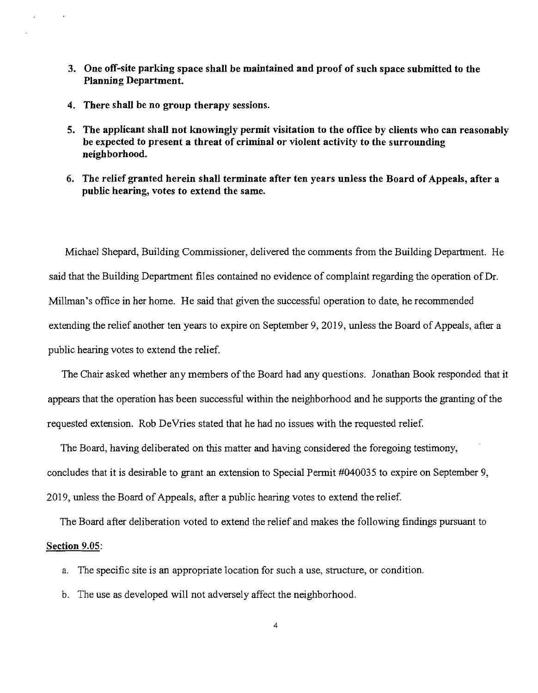- 3. One off-site parking space shall be maintained and proof of such space submitted to the Planning Department.
- 4. There shall be no group therapy sessions.
- 5. The applicant shall not knowingly permit visitation to the office by clients who can reasonably be expected to present a threat of criminal or violent activity to the surrounding neighborhood.
- 6. The relief granted herein shall terminate after ten years unless the Board of Appeals, after a public hearing, votes to extend the same.

Michael Shepard, Building Commissioner, delivered the comments from the Building Department. He said that the Building Department files contained no evidence of complaint regarding the operation of Dr. Millman's office in her home. He said that given the successful operation to date, he recommended extending the relief another ten years to expire on September 9, 2019, unless the Board of Appeals, after a public hearing Yotes to extend the relief.

The Chair asked whether any members of the Board had any questions. Jonathan Book responded that it appears that the operation has been successful within the neighborhood and he supports the granting of the requested extension. Rob DeVries stated that he had no issues with the requested relief

The Board, having deliberated on this matter and having considered the foregoing testimony, concludes that it is desirable to grant an extension to Special Permit #040035 to expire on September 9, 2019, unless the Board of Appeals, after a public hearing Yotes to extend the relief.

The Board after deliberation voted to extend the relief and makes the following findings pursuant to

#### Section 9.05:

- a. The specific site is an appropriate location for such a use, structure, or condition.
- b. The use as developed will not adversely affect the neighborhood.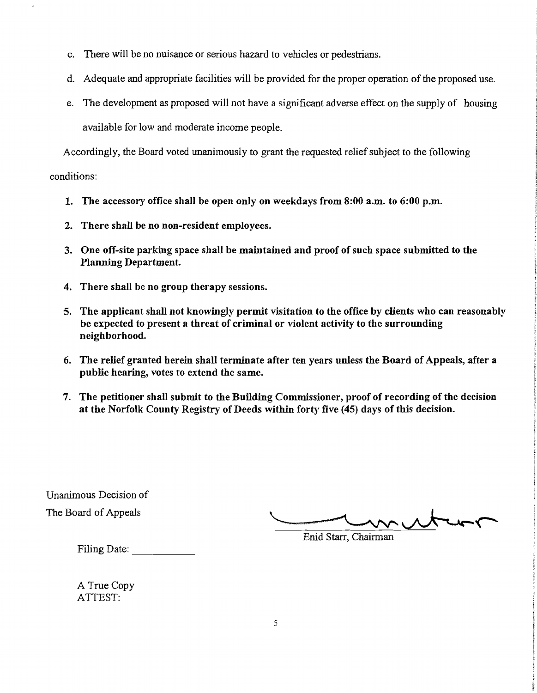- c. There will be no nuisance or serious hazard to vehicles or pedestrians.
- d. Adequate and appropriate facilities will be provided for the proper operation of the proposed use.
- e. The development as proposed will not have a significant adverse effect on the supply of housing available for low and moderate income people.

Accordingly, the Board voted unanimously to grant the requested relief subject to the following

conditions:

- 1. The accessory office shall be open only on weekdays from  $8:00$  a.m. to  $6:00$  p.m.
- 2. There shall be no non-resident employees.
- 3. One off-site parking space shall be maintained and proof of such space submitted to the Planning Department.
- 4. There shall be no group therapy sessions.
- 5. The applicant shall not knowingly permit visitation to the office by clients who can reasonably be expected to present a threat of criminal or violent activity to the surrounding neighborhood.
- 6. The relief granted herein shall terminate after ten years unless the Board of Appeals, after a public hearing, votes to extend the same.
- 7. The petitioner shall submit to the Building Commissioner, proof of recording of the decision at the Norfolk County Registry of Deeds within forty five (45) days of this decision.

Unanimous Decision of

The Board ofAppeals .......\_...........--- ---------'-'----"""'- Enid Starr, Chairman

Filing Date: \_

A True Copy ATTEST: